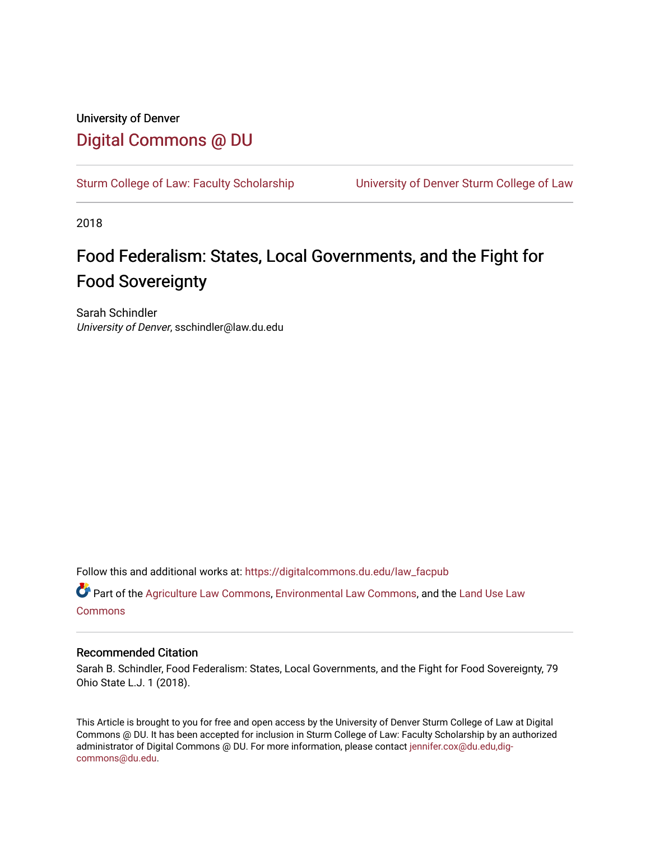# University of Denver [Digital Commons @ DU](https://digitalcommons.du.edu/)

[Sturm College of Law: Faculty Scholarship](https://digitalcommons.du.edu/law_facpub) [University of Denver Sturm College of Law](https://digitalcommons.du.edu/denver_law) 

2018

# Food Federalism: States, Local Governments, and the Fight for Food Sovereignty

Sarah Schindler University of Denver, sschindler@law.du.edu

Follow this and additional works at: [https://digitalcommons.du.edu/law\\_facpub](https://digitalcommons.du.edu/law_facpub?utm_source=digitalcommons.du.edu%2Flaw_facpub%2F65&utm_medium=PDF&utm_campaign=PDFCoverPages) 

Part of the [Agriculture Law Commons](http://network.bepress.com/hgg/discipline/581?utm_source=digitalcommons.du.edu%2Flaw_facpub%2F65&utm_medium=PDF&utm_campaign=PDFCoverPages), [Environmental Law Commons,](http://network.bepress.com/hgg/discipline/599?utm_source=digitalcommons.du.edu%2Flaw_facpub%2F65&utm_medium=PDF&utm_campaign=PDFCoverPages) and the [Land Use Law](http://network.bepress.com/hgg/discipline/852?utm_source=digitalcommons.du.edu%2Flaw_facpub%2F65&utm_medium=PDF&utm_campaign=PDFCoverPages)  [Commons](http://network.bepress.com/hgg/discipline/852?utm_source=digitalcommons.du.edu%2Flaw_facpub%2F65&utm_medium=PDF&utm_campaign=PDFCoverPages)

# Recommended Citation

Sarah B. Schindler, Food Federalism: States, Local Governments, and the Fight for Food Sovereignty, 79 Ohio State L.J. 1 (2018).

This Article is brought to you for free and open access by the University of Denver Sturm College of Law at Digital Commons @ DU. It has been accepted for inclusion in Sturm College of Law: Faculty Scholarship by an authorized administrator of Digital Commons @ DU. For more information, please contact [jennifer.cox@du.edu,dig](mailto:jennifer.cox@du.edu,dig-commons@du.edu)[commons@du.edu.](mailto:jennifer.cox@du.edu,dig-commons@du.edu)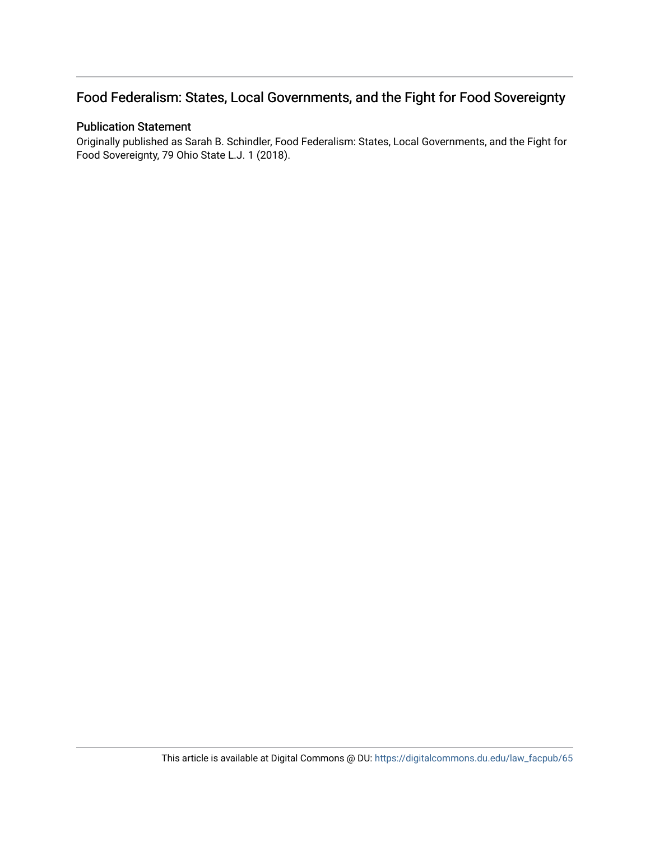# Food Federalism: States, Local Governments, and the Fight for Food Sovereignty

# Publication Statement

Originally published as Sarah B. Schindler, Food Federalism: States, Local Governments, and the Fight for Food Sovereignty, 79 Ohio State L.J. 1 (2018).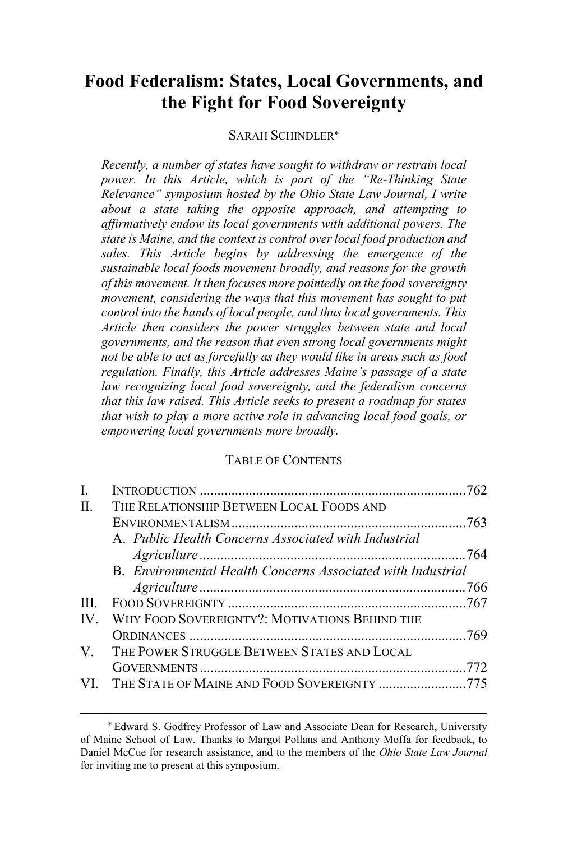# **Food Federalism: States, Local Governments, and the Fight for Food Sovereignty**

## SARAH SCHINDLER

*Recently, a number of states have sought to withdraw or restrain local power. In this Article, which is part of the "Re-Thinking State Relevance" symposium hosted by the Ohio State Law Journal, I write about a state taking the opposite approach, and attempting to affirmatively endow its local governments with additional powers. The state is Maine, and the context is control over local food production and sales. This Article begins by addressing the emergence of the sustainable local foods movement broadly, and reasons for the growth of this movement. It then focuses more pointedly on the food sovereignty movement, considering the ways that this movement has sought to put control into the hands of local people, and thus local governments. This Article then considers the power struggles between state and local governments, and the reason that even strong local governments might not be able to act as forcefully as they would like in areas such as food regulation. Finally, this Article addresses Maine's passage of a state law recognizing local food sovereignty, and the federalism concerns that this law raised. This Article seeks to present a roadmap for states that wish to play a more active role in advancing local food goals, or empowering local governments more broadly.*

## TABLE OF CONTENTS

| I.                      |                                                             |  |
|-------------------------|-------------------------------------------------------------|--|
| II.                     | THE RELATIONSHIP BETWEEN LOCAL FOODS AND                    |  |
|                         |                                                             |  |
|                         | A. Public Health Concerns Associated with Industrial        |  |
|                         |                                                             |  |
|                         | B. Environmental Health Concerns Associated with Industrial |  |
|                         |                                                             |  |
| HI.                     |                                                             |  |
| $\mathbf{I} \mathbf{V}$ | WHY FOOD SOVEREIGNTY?: MOTIVATIONS BEHIND THE               |  |
|                         |                                                             |  |
| V —                     | THE POWER STRUGGLE BETWEEN STATES AND LOCAL                 |  |
|                         |                                                             |  |
|                         | VI. THE STATE OF MAINE AND FOOD SOVEREIGNTY 775             |  |

 Edward S. Godfrey Professor of Law and Associate Dean for Research, University of Maine School of Law. Thanks to Margot Pollans and Anthony Moffa for feedback, to Daniel McCue for research assistance, and to the members of the *Ohio State Law Journal* for inviting me to present at this symposium.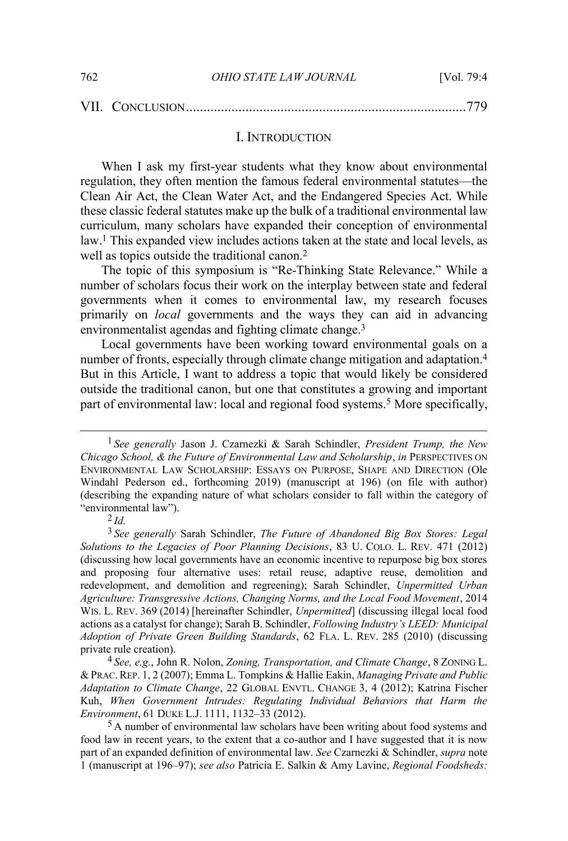#### VII. CONCLUSION................................................................................779

#### I. INTRODUCTION

When I ask my first-year students what they know about environmental regulation, they often mention the famous federal environmental statutes—the Clean Air Act, the Clean Water Act, and the Endangered Species Act. While these classic federal statutes make up the bulk of a traditional environmental law curriculum, many scholars have expanded their conception of environmental law.1 This expanded view includes actions taken at the state and local levels, as well as topics outside the traditional canon.<sup>2</sup>

The topic of this symposium is "Re-Thinking State Relevance." While a number of scholars focus their work on the interplay between state and federal governments when it comes to environmental law, my research focuses primarily on *local* governments and the ways they can aid in advancing environmentalist agendas and fighting climate change.<sup>3</sup>

Local governments have been working toward environmental goals on a number of fronts, especially through climate change mitigation and adaptation.4 But in this Article, I want to address a topic that would likely be considered outside the traditional canon, but one that constitutes a growing and important part of environmental law: local and regional food systems.<sup>5</sup> More specifically,

2 *Id.*

 <sup>1</sup> *See generally* Jason J. Czarnezki & Sarah Schindler, *President Trump, the New Chicago School, & the Future of Environmental Law and Scholarship*, *in* PERSPECTIVES ON ENVIRONMENTAL LAW SCHOLARSHIP: ESSAYS ON PURPOSE, SHAPE AND DIRECTION (Ole Windahl Pederson ed., forthcoming 2019) (manuscript at 196) (on file with author) (describing the expanding nature of what scholars consider to fall within the category of "environmental law").

<sup>3</sup> *See generally* Sarah Schindler, *The Future of Abandoned Big Box Stores: Legal Solutions to the Legacies of Poor Planning Decisions*, 83 U. COLO. L. REV. 471 (2012) (discussing how local governments have an economic incentive to repurpose big box stores and proposing four alternative uses: retail reuse, adaptive reuse, demolition and redevelopment, and demolition and regreening); Sarah Schindler, *Unpermitted Urban Agriculture: Transgressive Actions, Changing Norms, and the Local Food Movement*, 2014 WIS. L. REV. 369 (2014) [hereinafter Schindler, *Unpermitted*] (discussing illegal local food actions as a catalyst for change); Sarah B. Schindler, *Following Industry's LEED: Municipal Adoption of Private Green Building Standards*, 62 FLA. L. REV. 285 (2010) (discussing private rule creation).

<sup>4</sup> *See, e.g.*, John R. Nolon, *Zoning, Transportation, and Climate Change*, 8 ZONING L. & PRAC. REP. 1, 2 (2007); Emma L. Tompkins & Hallie Eakin, *Managing Private and Public Adaptation to Climate Change*, 22 GLOBAL ENVTL. CHANGE 3, 4 (2012); Katrina Fischer Kuh, *When Government Intrudes: Regulating Individual Behaviors that Harm the Environment*, 61 DUKE L.J. 1111, 1132–33 (2012).

<sup>&</sup>lt;sup>5</sup> A number of environmental law scholars have been writing about food systems and food law in recent years, to the extent that a co-author and I have suggested that it is now part of an expanded definition of environmental law. *See* Czarnezki & Schindler, *supra* note 1 (manuscript at 196–97); *see also* Patricia E. Salkin & Amy Lavine, *Regional Foodsheds:*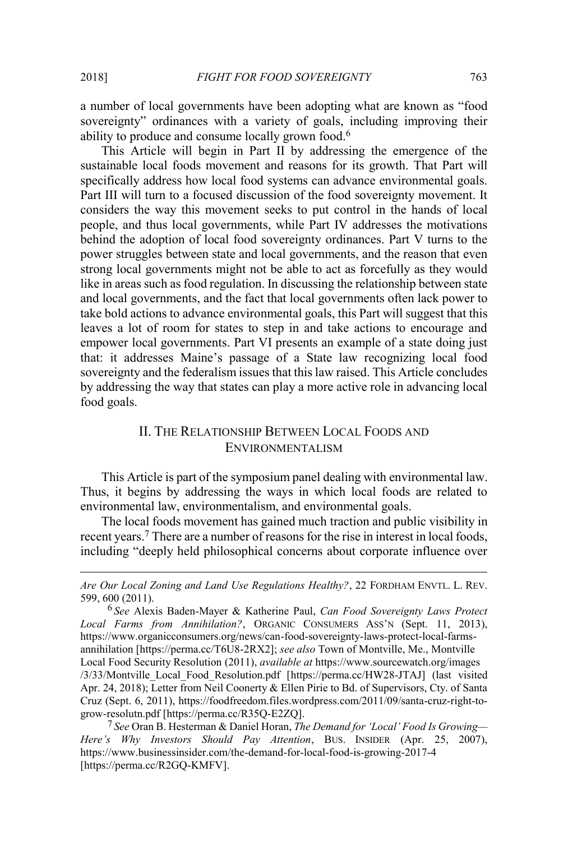$\overline{a}$ 

a number of local governments have been adopting what are known as "food sovereignty" ordinances with a variety of goals, including improving their ability to produce and consume locally grown food.6

This Article will begin in Part II by addressing the emergence of the sustainable local foods movement and reasons for its growth. That Part will specifically address how local food systems can advance environmental goals. Part III will turn to a focused discussion of the food sovereignty movement. It considers the way this movement seeks to put control in the hands of local people, and thus local governments, while Part IV addresses the motivations behind the adoption of local food sovereignty ordinances. Part V turns to the power struggles between state and local governments, and the reason that even strong local governments might not be able to act as forcefully as they would like in areas such as food regulation. In discussing the relationship between state and local governments, and the fact that local governments often lack power to take bold actions to advance environmental goals, this Part will suggest that this leaves a lot of room for states to step in and take actions to encourage and empower local governments. Part VI presents an example of a state doing just that: it addresses Maine's passage of a State law recognizing local food sovereignty and the federalism issues that this law raised. This Article concludes by addressing the way that states can play a more active role in advancing local food goals.

# II. THE RELATIONSHIP BETWEEN LOCAL FOODS AND ENVIRONMENTALISM

This Article is part of the symposium panel dealing with environmental law. Thus, it begins by addressing the ways in which local foods are related to environmental law, environmentalism, and environmental goals.

The local foods movement has gained much traction and public visibility in recent years.7 There are a number of reasons for the rise in interest in local foods, including "deeply held philosophical concerns about corporate influence over

7 *See* Oran B. Hesterman & Daniel Horan, *The Demand for 'Local' Food Is Growing— Here's Why Investors Should Pay Attention*, BUS. INSIDER (Apr. 25, 2007), https://www.businessinsider.com/the-demand-for-local-food-is-growing-2017-4 [https://perma.cc/R2GQ-KMFV].

*Are Our Local Zoning and Land Use Regulations Healthy?*, 22 FORDHAM ENVTL. L. REV. 599, 600 (2011).

<sup>6</sup> *See* Alexis Baden-Mayer & Katherine Paul, *Can Food Sovereignty Laws Protect Local Farms from Annihilation?*, ORGANIC CONSUMERS ASS'N (Sept. 11, 2013), https://www.organicconsumers.org/news/can-food-sovereignty-laws-protect-local-farmsannihilation [https://perma.cc/T6U8-2RX2]; *see also* Town of Montville, Me., Montville Local Food Security Resolution (2011), *available at* https://www.sourcewatch.org/images /3/33/Montville\_Local\_Food\_Resolution.pdf [https://perma.cc/HW28-JTAJ] (last visited Apr. 24, 2018); Letter from Neil Coonerty & Ellen Pirie to Bd. of Supervisors, Cty. of Santa Cruz (Sept. 6, 2011), https://foodfreedom.files.wordpress.com/2011/09/santa-cruz-right-togrow-resolutn.pdf [https://perma.cc/R35Q-E2ZQ].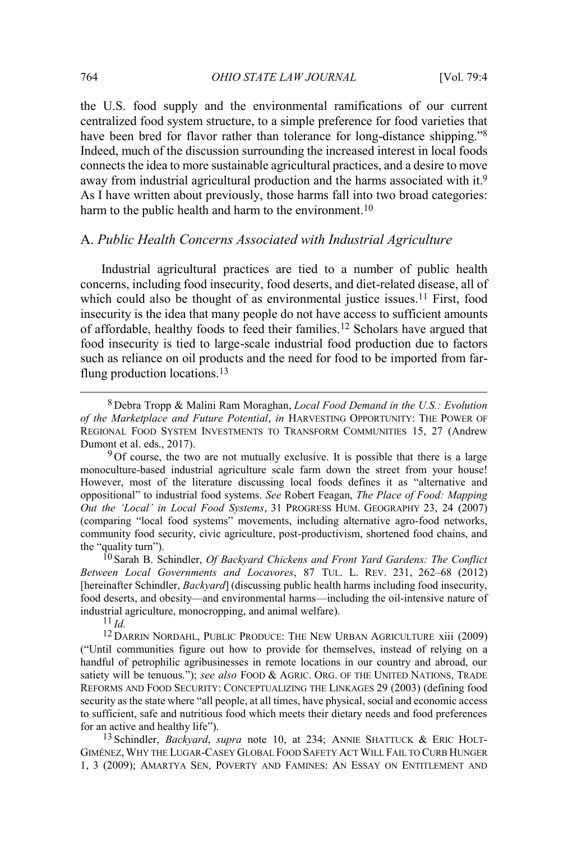the U.S. food supply and the environmental ramifications of our current centralized food system structure, to a simple preference for food varieties that have been bred for flavor rather than tolerance for long-distance shipping."<sup>8</sup> Indeed, much of the discussion surrounding the increased interest in local foods connects the idea to more sustainable agricultural practices, and a desire to move away from industrial agricultural production and the harms associated with it.9 As I have written about previously, those harms fall into two broad categories: harm to the public health and harm to the environment.<sup>10</sup>

#### A. *Public Health Concerns Associated with Industrial Agriculture*

Industrial agricultural practices are tied to a number of public health concerns, including food insecurity, food deserts, and diet-related disease, all of which could also be thought of as environmental justice issues.<sup>11</sup> First, food insecurity is the idea that many people do not have access to sufficient amounts of affordable, healthy foods to feed their families.12 Scholars have argued that food insecurity is tied to large-scale industrial food production due to factors such as reliance on oil products and the need for food to be imported from farflung production locations.13

 8 Debra Tropp & Malini Ram Moraghan, *Local Food Demand in the U.S.: Evolution of the Marketplace and Future Potential*, *in* HARVESTING OPPORTUNITY: THE POWER OF REGIONAL FOOD SYSTEM INVESTMENTS TO TRANSFORM COMMUNITIES 15, 27 (Andrew Dumont et al. eds., 2017).

<sup>9</sup>Of course, the two are not mutually exclusive. It is possible that there is a large monoculture-based industrial agriculture scale farm down the street from your house! However, most of the literature discussing local foods defines it as "alternative and oppositional" to industrial food systems. *See* Robert Feagan, *The Place of Food: Mapping Out the 'Local' in Local Food Systems*, 31 PROGRESS HUM. GEOGRAPHY 23, 24 (2007) (comparing "local food systems" movements, including alternative agro-food networks, community food security, civic agriculture, post-productivism, shortened food chains, and the "quality turn").

10 Sarah B. Schindler, *Of Backyard Chickens and Front Yard Gardens: The Conflict Between Local Governments and Locavores*, 87 TUL. L. REV. 231, 262–68 (2012) [hereinafter Schindler, *Backyard*] (discussing public health harms including food insecurity, food deserts, and obesity—and environmental harms—including the oil-intensive nature of industrial agriculture, monocropping, and animal welfare).

 $11 \, \text{Id}$ 

12 DARRIN NORDAHL, PUBLIC PRODUCE: THE NEW URBAN AGRICULTURE xiii (2009) ("Until communities figure out how to provide for themselves, instead of relying on a handful of petrophilic agribusinesses in remote locations in our country and abroad, our satiety will be tenuous."); *see also* FOOD & AGRIC. ORG. OF THE UNITED NATIONS, TRADE REFORMS AND FOOD SECURITY: CONCEPTUALIZING THE LINKAGES 29 (2003) (defining food security as the state where "all people, at all times, have physical, social and economic access to sufficient, safe and nutritious food which meets their dietary needs and food preferences for an active and healthy life").

13 Schindler, *Backyard*, *supra* note 10, at 234; ANNIE SHATTUCK & ERIC HOLT-GIMÉNEZ, WHY THE LUGAR-CASEY GLOBAL FOOD SAFETY ACT WILL FAIL TO CURB HUNGER 1, 3 (2009); AMARTYA SEN, POVERTY AND FAMINES: AN ESSAY ON ENTITLEMENT AND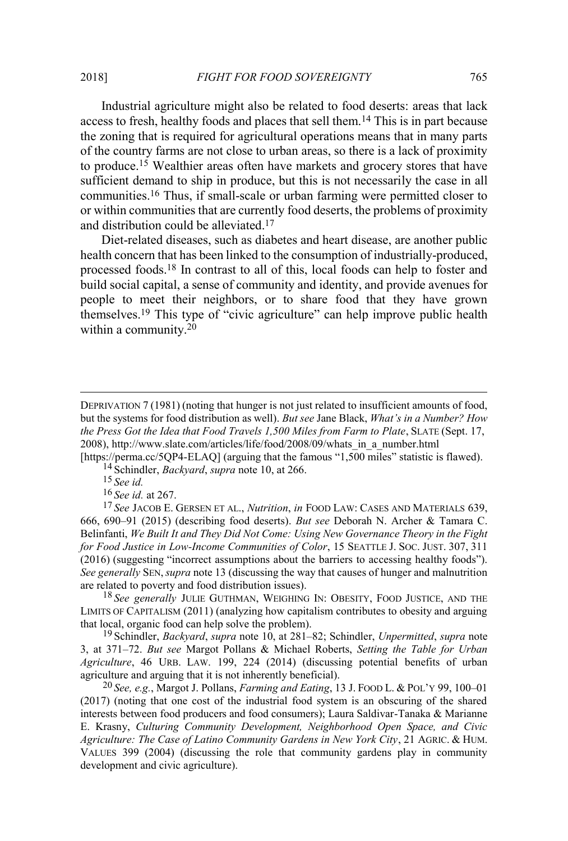Industrial agriculture might also be related to food deserts: areas that lack access to fresh, healthy foods and places that sell them.14 This is in part because the zoning that is required for agricultural operations means that in many parts of the country farms are not close to urban areas, so there is a lack of proximity to produce.15 Wealthier areas often have markets and grocery stores that have sufficient demand to ship in produce, but this is not necessarily the case in all communities.16 Thus, if small-scale or urban farming were permitted closer to or within communities that are currently food deserts, the problems of proximity and distribution could be alleviated.17

Diet-related diseases, such as diabetes and heart disease, are another public health concern that has been linked to the consumption of industrially-produced, processed foods.18 In contrast to all of this, local foods can help to foster and build social capital, a sense of community and identity, and provide avenues for people to meet their neighbors, or to share food that they have grown themselves.19 This type of "civic agriculture" can help improve public health within a community.20

[https://perma.cc/5QP4-ELAQ] (arguing that the famous "1,500 miles" statistic is flawed). 14 Schindler, *Backyard*, *supra* note 10, at 266.

15 *See id.*

 $\overline{a}$ 

16 *See id.* at 267.

17 *See* JACOB E. GERSEN ET AL., *Nutrition*, *in* FOOD LAW: CASES AND MATERIALS 639, 666, 690–91 (2015) (describing food deserts). *But see* Deborah N. Archer & Tamara C. Belinfanti, *We Built It and They Did Not Come: Using New Governance Theory in the Fight for Food Justice in Low-Income Communities of Color*, 15 SEATTLE J. SOC. JUST. 307, 311 (2016) (suggesting "incorrect assumptions about the barriers to accessing healthy foods"). *See generally* SEN,*supra* note 13 (discussing the way that causes of hunger and malnutrition are related to poverty and food distribution issues).

18 *See generally* JULIE GUTHMAN, WEIGHING IN: OBESITY, FOOD JUSTICE, AND THE LIMITS OF CAPITALISM (2011) (analyzing how capitalism contributes to obesity and arguing that local, organic food can help solve the problem).

19 Schindler, *Backyard*, *supra* note 10, at 281–82; Schindler, *Unpermitted*, *supra* note 3, at 371–72. *But see* Margot Pollans & Michael Roberts, *Setting the Table for Urban Agriculture*, 46 URB. LAW. 199, 224 (2014) (discussing potential benefits of urban agriculture and arguing that it is not inherently beneficial).

20 *See, e.g.*, Margot J. Pollans, *Farming and Eating*, 13 J. FOOD L. & POL'<sup>Y</sup> 99, 100–01 (2017) (noting that one cost of the industrial food system is an obscuring of the shared interests between food producers and food consumers); Laura Saldivar-Tanaka & Marianne E. Krasny, *Culturing Community Development, Neighborhood Open Space, and Civic Agriculture: The Case of Latino Community Gardens in New York City*, 21 AGRIC.&HUM. VALUES 399 (2004) (discussing the role that community gardens play in community development and civic agriculture).

DEPRIVATION 7 (1981) (noting that hunger is not just related to insufficient amounts of food, but the systems for food distribution as well). *But see* Jane Black, *What's in a Number? How the Press Got the Idea that Food Travels 1,500 Miles from Farm to Plate*, SLATE (Sept. 17, 2008), http://www.slate.com/articles/life/food/2008/09/whats\_in\_a\_number.html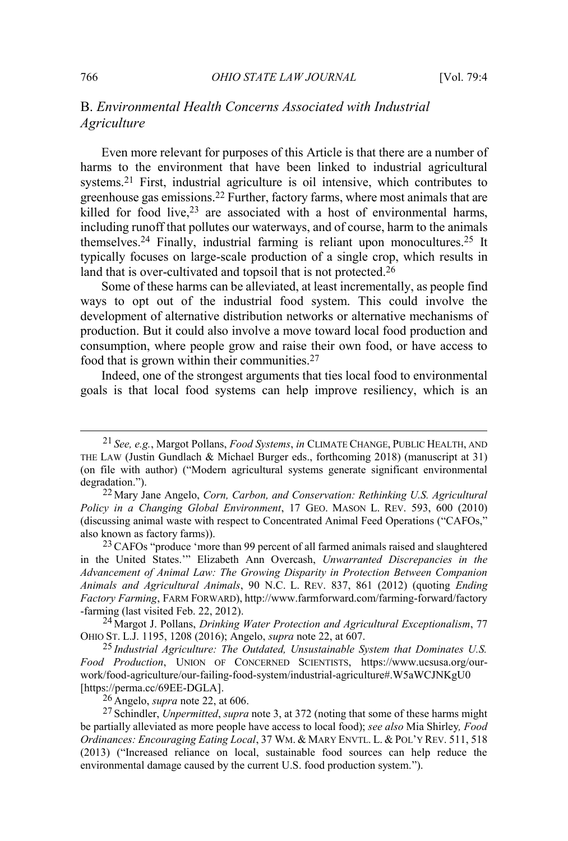# B. *Environmental Health Concerns Associated with Industrial Agriculture*

Even more relevant for purposes of this Article is that there are a number of harms to the environment that have been linked to industrial agricultural systems.21 First, industrial agriculture is oil intensive, which contributes to greenhouse gas emissions.22 Further, factory farms, where most animals that are killed for food live,  $23$  are associated with a host of environmental harms, including runoff that pollutes our waterways, and of course, harm to the animals themselves.24 Finally, industrial farming is reliant upon monocultures.25 It typically focuses on large-scale production of a single crop, which results in land that is over-cultivated and topsoil that is not protected.<sup>26</sup>

Some of these harms can be alleviated, at least incrementally, as people find ways to opt out of the industrial food system. This could involve the development of alternative distribution networks or alternative mechanisms of production. But it could also involve a move toward local food production and consumption, where people grow and raise their own food, or have access to food that is grown within their communities.27

Indeed, one of the strongest arguments that ties local food to environmental goals is that local food systems can help improve resiliency, which is an

24 Margot J. Pollans, *Drinking Water Protection and Agricultural Exceptionalism*, 77 OHIO ST. L.J. 1195, 1208 (2016); Angelo, *supra* note 22, at 607.

25 *Industrial Agriculture: The Outdated, Unsustainable System that Dominates U.S. Food Production*, UNION OF CONCERNED SCIENTISTS, https://www.ucsusa.org/ourwork/food-agriculture/our-failing-food-system/industrial-agriculture#.W5aWCJNKgU0 [https://perma.cc/69EE-DGLA].

26 Angelo, *supra* note 22, at 606.

 <sup>21</sup> *See, e.g.*, Margot Pollans, *Food Systems*, *in* CLIMATE CHANGE, PUBLIC HEALTH, AND THE LAW (Justin Gundlach & Michael Burger eds., forthcoming 2018) (manuscript at 31) (on file with author) ("Modern agricultural systems generate significant environmental degradation.").

<sup>22</sup> Mary Jane Angelo, *Corn, Carbon, and Conservation: Rethinking U.S. Agricultural Policy in a Changing Global Environment*, 17 GEO. MASON L. REV. 593, 600 (2010) (discussing animal waste with respect to Concentrated Animal Feed Operations ("CAFOs," also known as factory farms)).

<sup>&</sup>lt;sup>23</sup> CAFOs "produce 'more than 99 percent of all farmed animals raised and slaughtered in the United States.'" Elizabeth Ann Overcash, *Unwarranted Discrepancies in the Advancement of Animal Law: The Growing Disparity in Protection Between Companion Animals and Agricultural Animals*, 90 N.C. L. REV. 837, 861 (2012) (quoting *Ending Factory Farming*, FARM FORWARD), http://www.farmforward.com/farming-forward/factory -farming (last visited Feb. 22, 2012).

<sup>27</sup> Schindler, *Unpermitted*, *supra* note 3, at 372 (noting that some of these harms might be partially alleviated as more people have access to local food); *see also* Mia Shirley*, Food Ordinances: Encouraging Eating Local*, 37 WM.&MARY ENVTL. L. & POL'Y REV. 511, 518 (2013) ("Increased reliance on local, sustainable food sources can help reduce the environmental damage caused by the current U.S. food production system.").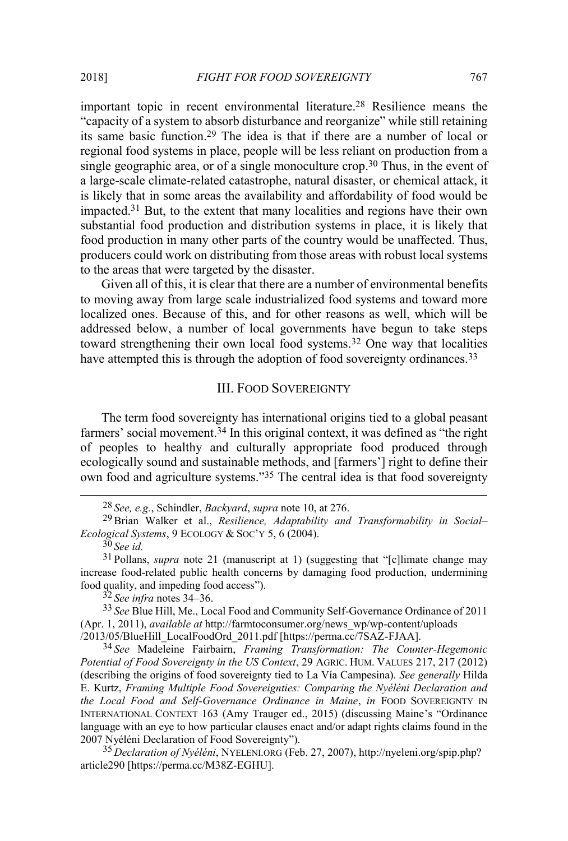important topic in recent environmental literature.28 Resilience means the "capacity of a system to absorb disturbance and reorganize" while still retaining its same basic function.29 The idea is that if there are a number of local or regional food systems in place, people will be less reliant on production from a single geographic area, or of a single monoculture crop.<sup>30</sup> Thus, in the event of a large-scale climate-related catastrophe, natural disaster, or chemical attack, it is likely that in some areas the availability and affordability of food would be impacted.31 But, to the extent that many localities and regions have their own substantial food production and distribution systems in place, it is likely that food production in many other parts of the country would be unaffected. Thus, producers could work on distributing from those areas with robust local systems to the areas that were targeted by the disaster.

Given all of this, it is clear that there are a number of environmental benefits to moving away from large scale industrialized food systems and toward more localized ones. Because of this, and for other reasons as well, which will be addressed below, a number of local governments have begun to take steps toward strengthening their own local food systems.32 One way that localities have attempted this is through the adoption of food sovereignty ordinances.<sup>33</sup>

### III. FOOD SOVEREIGNTY

The term food sovereignty has international origins tied to a global peasant farmers' social movement.<sup>34</sup> In this original context, it was defined as "the right" of peoples to healthy and culturally appropriate food produced through ecologically sound and sustainable methods, and [farmers'] right to define their own food and agriculture systems."<sup>35</sup> The central idea is that food sovereignty

32 *See infra* notes 34–36.

33 *See* Blue Hill, Me., Local Food and Community Self-Governance Ordinance of 2011 (Apr. 1, 2011), *available at* http://farmtoconsumer.org/news\_wp/wp-content/uploads /2013/05/BlueHill\_LocalFoodOrd\_2011.pdf [https://perma.cc/7SAZ-FJAA].

34 *See* Madeleine Fairbairn, *Framing Transformation: The Counter-Hegemonic Potential of Food Sovereignty in the US Context*, 29 AGRIC. HUM. VALUES 217, 217 (2012) (describing the origins of food sovereignty tied to La Vía Campesina). *See generally* Hilda E. Kurtz, *Framing Multiple Food Sovereignties: Comparing the Nyéléni Declaration and the Local Food and Self-Governance Ordinance in Maine*, *in* FOOD SOVEREIGNTY IN INTERNATIONAL CONTEXT 163 (Amy Trauger ed., 2015) (discussing Maine's "Ordinance language with an eye to how particular clauses enact and/or adapt rights claims found in the 2007 Nyéléni Declaration of Food Sovereignty").

35 *Declaration of Nyéléni*, NYELENI.ORG (Feb. 27, 2007), http://nyeleni.org/spip.php? article290 [https://perma.cc/M38Z-EGHU].

 <sup>28</sup> *See, e.g.*, Schindler, *Backyard*, *supra* note 10, at 276.

<sup>29</sup>Brian Walker et al., *Resilience, Adaptability and Transformability in Social– Ecological Systems*, 9 ECOLOGY & SOC'Y 5, 6 (2004).

<sup>30</sup> *See id.*

<sup>31</sup> Pollans, *supra* note 21 (manuscript at 1) (suggesting that "[c]limate change may increase food-related public health concerns by damaging food production, undermining food quality, and impeding food access").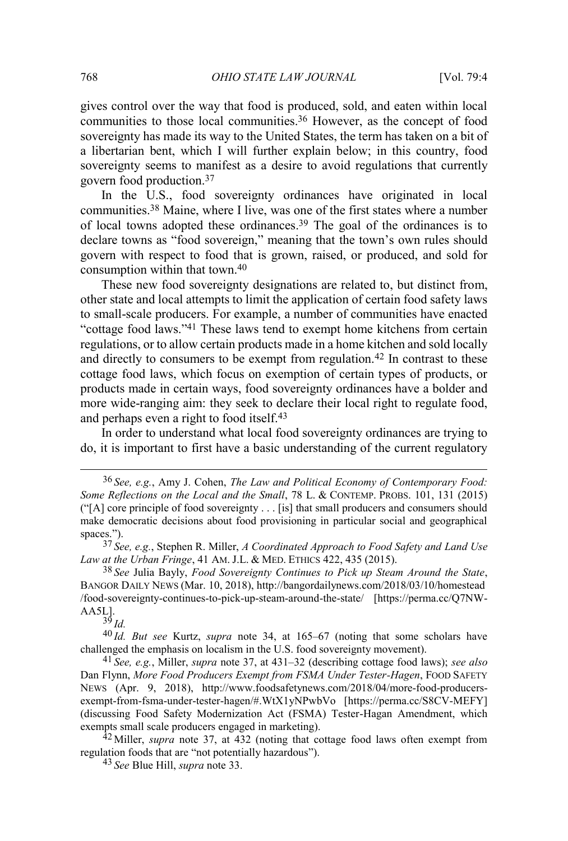gives control over the way that food is produced, sold, and eaten within local communities to those local communities.36 However, as the concept of food sovereignty has made its way to the United States, the term has taken on a bit of a libertarian bent, which I will further explain below; in this country, food sovereignty seems to manifest as a desire to avoid regulations that currently govern food production.37

In the U.S., food sovereignty ordinances have originated in local communities.38 Maine, where I live, was one of the first states where a number of local towns adopted these ordinances.39 The goal of the ordinances is to declare towns as "food sovereign," meaning that the town's own rules should govern with respect to food that is grown, raised, or produced, and sold for consumption within that town.40

These new food sovereignty designations are related to, but distinct from, other state and local attempts to limit the application of certain food safety laws to small-scale producers. For example, a number of communities have enacted "cottage food laws."<sup>41</sup> These laws tend to exempt home kitchens from certain regulations, or to allow certain products made in a home kitchen and sold locally and directly to consumers to be exempt from regulation.<sup>42</sup> In contrast to these cottage food laws, which focus on exemption of certain types of products, or products made in certain ways, food sovereignty ordinances have a bolder and more wide-ranging aim: they seek to declare their local right to regulate food, and perhaps even a right to food itself.<sup>43</sup>

In order to understand what local food sovereignty ordinances are trying to do, it is important to first have a basic understanding of the current regulatory

37 *See, e.g.*, Stephen R. Miller, *A Coordinated Approach to Food Safety and Land Use Law at the Urban Fringe*, 41 AM. J.L. & MED. ETHICS 422, 435 (2015).

38 *See* Julia Bayly, *Food Sovereignty Continues to Pick up Steam Around the State*, BANGOR DAILY NEWS (Mar. 10, 2018), http://bangordailynews.com/2018/03/10/homestead /food-sovereignty-continues-to-pick-up-steam-around-the-state/ [https://perma.cc/Q7NW-AA5L].

39 *Id.* 

40 *Id. But see* Kurtz, *supra* note 34, at 165–67 (noting that some scholars have challenged the emphasis on localism in the U.S. food sovereignty movement).

41 *See, e.g.*, Miller, *supra* note 37, at 431–32 (describing cottage food laws); *see also*  Dan Flynn, *More Food Producers Exempt from FSMA Under Tester-Hagen*, FOOD SAFETY NEWS (Apr. 9, 2018), http://www.foodsafetynews.com/2018/04/more-food-producersexempt-from-fsma-under-tester-hagen/#.WtX1yNPwbVo [https://perma.cc/S8CV-MEFY] (discussing Food Safety Modernization Act (FSMA) Tester-Hagan Amendment, which exempts small scale producers engaged in marketing).

<sup>42</sup> Miller, *supra* note 37, at 432 (noting that cottage food laws often exempt from regulation foods that are "not potentially hazardous").

43 *See* Blue Hill, *supra* note 33.

 <sup>36</sup> *See, e.g.*, Amy J. Cohen, *The Law and Political Economy of Contemporary Food: Some Reflections on the Local and the Small*, 78 L. & CONTEMP. PROBS. 101, 131 (2015) ("[A] core principle of food sovereignty . . . [is] that small producers and consumers should make democratic decisions about food provisioning in particular social and geographical spaces.").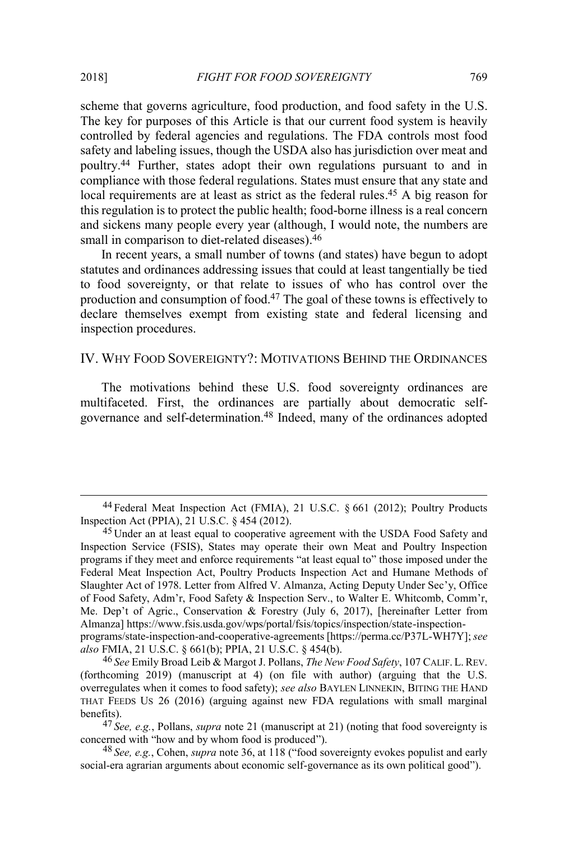scheme that governs agriculture, food production, and food safety in the U.S. The key for purposes of this Article is that our current food system is heavily controlled by federal agencies and regulations. The FDA controls most food safety and labeling issues, though the USDA also has jurisdiction over meat and poultry.44 Further, states adopt their own regulations pursuant to and in compliance with those federal regulations. States must ensure that any state and local requirements are at least as strict as the federal rules.<sup>45</sup> A big reason for this regulation is to protect the public health; food-borne illness is a real concern and sickens many people every year (although, I would note, the numbers are small in comparison to diet-related diseases).<sup>46</sup>

In recent years, a small number of towns (and states) have begun to adopt statutes and ordinances addressing issues that could at least tangentially be tied to food sovereignty, or that relate to issues of who has control over the production and consumption of food.47 The goal of these towns is effectively to declare themselves exempt from existing state and federal licensing and inspection procedures.

#### IV. WHY FOOD SOVEREIGNTY?: MOTIVATIONS BEHIND THE ORDINANCES

The motivations behind these U.S. food sovereignty ordinances are multifaceted. First, the ordinances are partially about democratic selfgovernance and self-determination.48 Indeed, many of the ordinances adopted

*also* FMIA, 21 U.S.C. § 661(b); PPIA, 21 U.S.C. § 454(b).

 <sup>44</sup> Federal Meat Inspection Act (FMIA), 21 U.S.C. § 661 (2012); Poultry Products Inspection Act (PPIA), 21 U.S.C. § 454 (2012).

<sup>&</sup>lt;sup>45</sup> Under an at least equal to cooperative agreement with the USDA Food Safety and Inspection Service (FSIS), States may operate their own Meat and Poultry Inspection programs if they meet and enforce requirements "at least equal to" those imposed under the Federal Meat Inspection Act, Poultry Products Inspection Act and Humane Methods of Slaughter Act of 1978. Letter from Alfred V. Almanza, Acting Deputy Under Sec'y, Office of Food Safety, Adm'r, Food Safety & Inspection Serv., to Walter E. Whitcomb, Comm'r, Me. Dep't of Agric., Conservation & Forestry (July 6, 2017), [hereinafter Letter from Almanza] https://www.fsis.usda.gov/wps/portal/fsis/topics/inspection/state-inspectionprograms/state-inspection-and-cooperative-agreements [https://perma.cc/P37L-WH7Y]; *see* 

<sup>46</sup> *See* Emily Broad Leib & Margot J. Pollans, *The New Food Safety*, 107 CALIF. L. REV. (forthcoming 2019) (manuscript at 4) (on file with author) (arguing that the U.S. overregulates when it comes to food safety); *see also* BAYLEN LINNEKIN, BITING THE HAND THAT FEEDS US 26 (2016) (arguing against new FDA regulations with small marginal benefits).

<sup>47</sup> *See, e.g.*, Pollans, *supra* note 21 (manuscript at 21) (noting that food sovereignty is concerned with "how and by whom food is produced").

<sup>48</sup> *See, e.g.*, Cohen, *supra* note 36, at 118 ("food sovereignty evokes populist and early social-era agrarian arguments about economic self-governance as its own political good").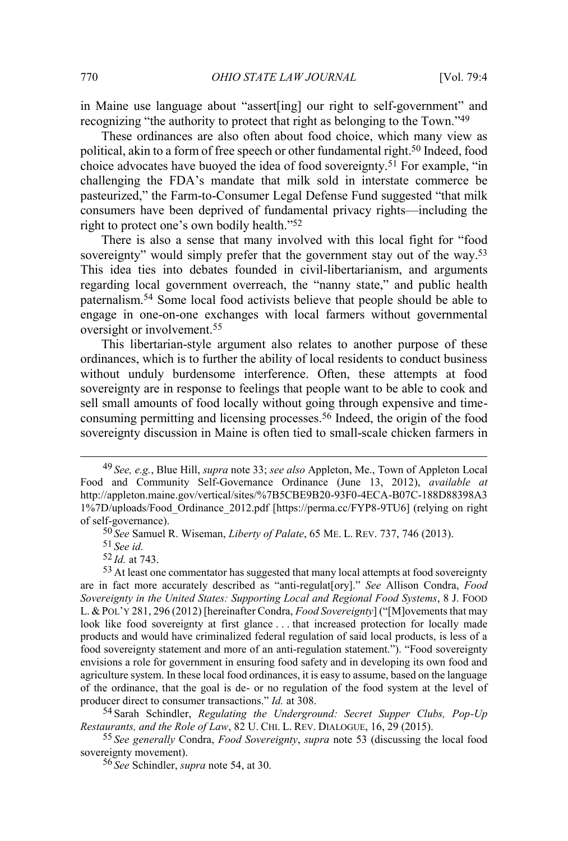in Maine use language about "assert[ing] our right to self-government" and recognizing "the authority to protect that right as belonging to the Town."<sup>49</sup>

These ordinances are also often about food choice, which many view as political, akin to a form of free speech or other fundamental right.50 Indeed, food choice advocates have buoyed the idea of food sovereignty.<sup>51</sup> For example, "in challenging the FDA's mandate that milk sold in interstate commerce be pasteurized," the Farm-to-Consumer Legal Defense Fund suggested "that milk consumers have been deprived of fundamental privacy rights—including the right to protect one's own bodily health."<sup>52</sup>

There is also a sense that many involved with this local fight for "food sovereignty" would simply prefer that the government stay out of the way.<sup>53</sup> This idea ties into debates founded in civil-libertarianism, and arguments regarding local government overreach, the "nanny state," and public health paternalism.54 Some local food activists believe that people should be able to engage in one-on-one exchanges with local farmers without governmental oversight or involvement.55

This libertarian-style argument also relates to another purpose of these ordinances, which is to further the ability of local residents to conduct business without unduly burdensome interference. Often, these attempts at food sovereignty are in response to feelings that people want to be able to cook and sell small amounts of food locally without going through expensive and timeconsuming permitting and licensing processes.56 Indeed, the origin of the food sovereignty discussion in Maine is often tied to small-scale chicken farmers in

54 Sarah Schindler, *Regulating the Underground: Secret Supper Clubs, Pop-Up Restaurants, and the Role of Law*, 82 U. CHI. L. REV. DIALOGUE, 16, 29 (2015).

55 *See generally* Condra, *Food Sovereignty*, *supra* note 53 (discussing the local food sovereignty movement).

56 *See* Schindler, *supra* note 54, at 30.

 <sup>49</sup> *See, e.g.*, Blue Hill, *supra* note 33; *see also* Appleton, Me., Town of Appleton Local Food and Community Self-Governance Ordinance (June 13, 2012), *available at*  http://appleton.maine.gov/vertical/sites/%7B5CBE9B20-93F0-4ECA-B07C-188D88398A3 1%7D/uploads/Food\_Ordinance\_2012.pdf [https://perma.cc/FYP8-9TU6] (relying on right of self-governance).

<sup>50</sup> *See* Samuel R. Wiseman, *Liberty of Palate*, 65 ME. L. REV. 737, 746 (2013).

<sup>51</sup> *See id.* 

<sup>52</sup> *Id.* at 743.

<sup>&</sup>lt;sup>53</sup> At least one commentator has suggested that many local attempts at food sovereignty are in fact more accurately described as "anti-regulat[ory]." *See* Allison Condra, *Food Sovereignty in the United States: Supporting Local and Regional Food Systems*, 8 J. FOOD L. & POL'Y 281, 296 (2012) [hereinafter Condra, *Food Sovereignty*] ("[M]ovements that may look like food sovereignty at first glance . . . that increased protection for locally made products and would have criminalized federal regulation of said local products, is less of a food sovereignty statement and more of an anti-regulation statement."). "Food sovereignty envisions a role for government in ensuring food safety and in developing its own food and agriculture system. In these local food ordinances, it is easy to assume, based on the language of the ordinance, that the goal is de- or no regulation of the food system at the level of producer direct to consumer transactions." *Id.* at 308.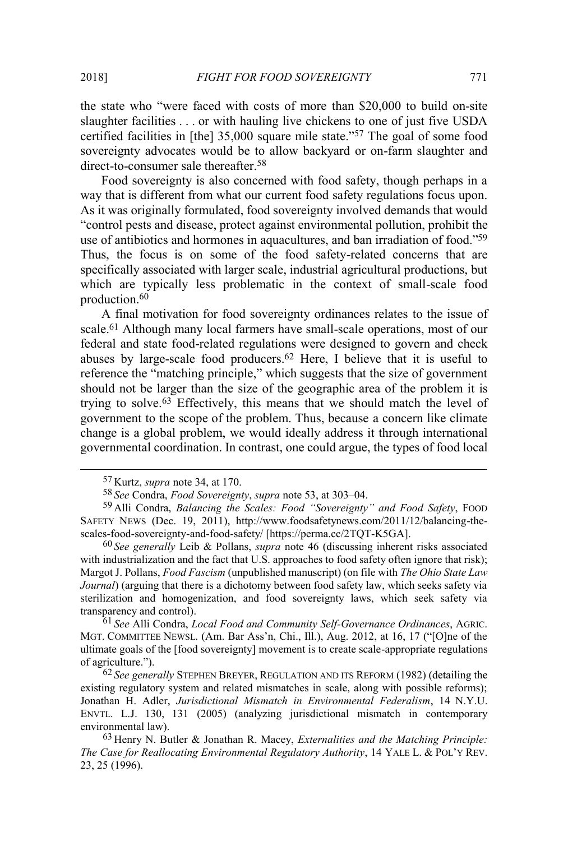the state who "were faced with costs of more than \$20,000 to build on-site slaughter facilities . . . or with hauling live chickens to one of just five USDA certified facilities in [the] 35,000 square mile state."<sup>57</sup> The goal of some food sovereignty advocates would be to allow backyard or on-farm slaughter and direct-to-consumer sale thereafter.58

Food sovereignty is also concerned with food safety, though perhaps in a way that is different from what our current food safety regulations focus upon. As it was originally formulated, food sovereignty involved demands that would "control pests and disease, protect against environmental pollution, prohibit the use of antibiotics and hormones in aquacultures, and ban irradiation of food."<sup>59</sup> Thus, the focus is on some of the food safety-related concerns that are specifically associated with larger scale, industrial agricultural productions, but which are typically less problematic in the context of small-scale food production.60

A final motivation for food sovereignty ordinances relates to the issue of scale.61 Although many local farmers have small-scale operations, most of our federal and state food-related regulations were designed to govern and check abuses by large-scale food producers.62 Here, I believe that it is useful to reference the "matching principle," which suggests that the size of government should not be larger than the size of the geographic area of the problem it is trying to solve.63 Effectively, this means that we should match the level of government to the scope of the problem. Thus, because a concern like climate change is a global problem, we would ideally address it through international governmental coordination. In contrast, one could argue, the types of food local

61 *See* Alli Condra, *Local Food and Community Self-Governance Ordinances*, AGRIC. MGT. COMMITTEE NEWSL. (Am. Bar Ass'n, Chi., Ill.), Aug. 2012, at 16, 17 ("[O]ne of the ultimate goals of the [food sovereignty] movement is to create scale-appropriate regulations of agriculture.").

62 *See generally* STEPHEN BREYER, REGULATION AND ITS REFORM (1982) (detailing the existing regulatory system and related mismatches in scale, along with possible reforms); Jonathan H. Adler, *Jurisdictional Mismatch in Environmental Federalism*, 14 N.Y.U. ENVTL. L.J. 130, 131 (2005) (analyzing jurisdictional mismatch in contemporary environmental law).

 <sup>57</sup> Kurtz, *supra* note 34, at 170.

<sup>58</sup> *See* Condra, *Food Sovereignty*, *supra* note 53, at 303–04.

<sup>59</sup> Alli Condra, *Balancing the Scales: Food "Sovereignty" and Food Safety*, FOOD SAFETY NEWS (Dec. 19, 2011), http://www.foodsafetynews.com/2011/12/balancing-thescales-food-sovereignty-and-food-safety/ [https://perma.cc/2TQT-K5GA].

<sup>60</sup> *See generally* Leib & Pollans, *supra* note 46 (discussing inherent risks associated with industrialization and the fact that U.S. approaches to food safety often ignore that risk); Margot J. Pollans, *Food Fascism* (unpublished manuscript) (on file with *The Ohio State Law Journal*) (arguing that there is a dichotomy between food safety law, which seeks safety via sterilization and homogenization, and food sovereignty laws, which seek safety via transparency and control).

<sup>63</sup> Henry N. Butler & Jonathan R. Macey, *Externalities and the Matching Principle: The Case for Reallocating Environmental Regulatory Authority*, 14 YALE L. & POL'Y REV. 23, 25 (1996).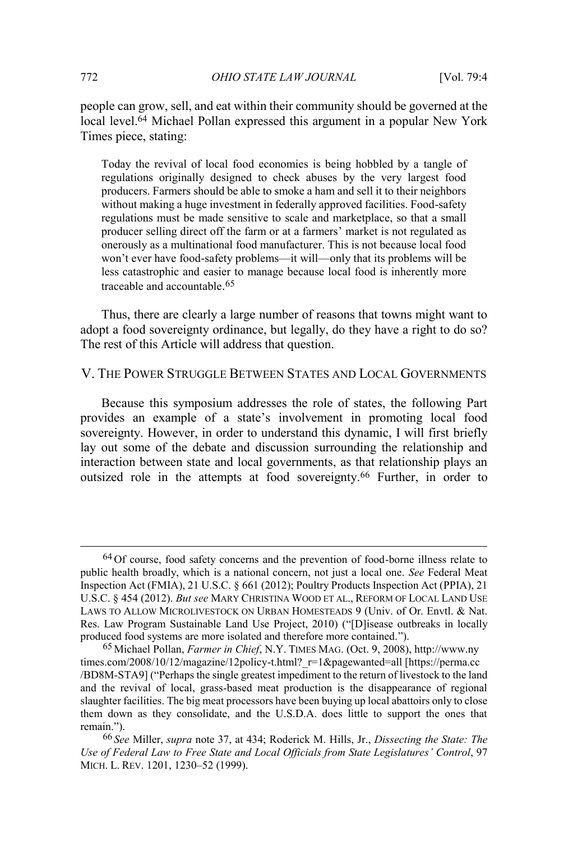people can grow, sell, and eat within their community should be governed at the local level.64 Michael Pollan expressed this argument in a popular New York Times piece, stating:

Today the revival of local food economies is being hobbled by a tangle of regulations originally designed to check abuses by the very largest food producers. Farmers should be able to smoke a ham and sell it to their neighbors without making a huge investment in federally approved facilities. Food-safety regulations must be made sensitive to scale and marketplace, so that a small producer selling direct off the farm or at a farmers' market is not regulated as onerously as a multinational food manufacturer. This is not because local food won't ever have food-safety problems—it will—only that its problems will be less catastrophic and easier to manage because local food is inherently more traceable and accountable. 65

Thus, there are clearly a large number of reasons that towns might want to adopt a food sovereignty ordinance, but legally, do they have a right to do so? The rest of this Article will address that question.

V. THE POWER STRUGGLE BETWEEN STATES AND LOCAL GOVERNMENTS

Because this symposium addresses the role of states, the following Part provides an example of a state's involvement in promoting local food sovereignty. However, in order to understand this dynamic, I will first briefly lay out some of the debate and discussion surrounding the relationship and interaction between state and local governments, as that relationship plays an outsized role in the attempts at food sovereignty.66 Further, in order to

 <sup>64</sup> Of course, food safety concerns and the prevention of food-borne illness relate to public health broadly, which is a national concern, not just a local one. *See* Federal Meat Inspection Act (FMIA), 21 U.S.C. § 661 (2012); Poultry Products Inspection Act (PPIA), 21 U.S.C. § 454 (2012). *But see* MARY CHRISTINA WOOD ET AL., REFORM OF LOCAL LAND USE LAWS TO ALLOW MICROLIVESTOCK ON URBAN HOMESTEADS 9 (Univ. of Or. Envtl. & Nat. Res. Law Program Sustainable Land Use Project, 2010) ("[D]isease outbreaks in locally produced food systems are more isolated and therefore more contained.").

<sup>65</sup> Michael Pollan, *Farmer in Chief*, N.Y. TIMES MAG. (Oct. 9, 2008), http://www.ny times.com/2008/10/12/magazine/12policy-t.html? r=1&pagewanted=all [https://perma.cc /BD8M-STA9] ("Perhaps the single greatest impediment to the return of livestock to the land and the revival of local, grass-based meat production is the disappearance of regional slaughter facilities. The big meat processors have been buying up local abattoirs only to close them down as they consolidate, and the U.S.D.A. does little to support the ones that remain.").

<sup>66</sup> *See* Miller, *supra* note 37, at 434; Roderick M. Hills, Jr., *Dissecting the State: The Use of Federal Law to Free State and Local Officials from State Legislatures' Control*, 97 MICH. L. REV. 1201, 1230–52 (1999).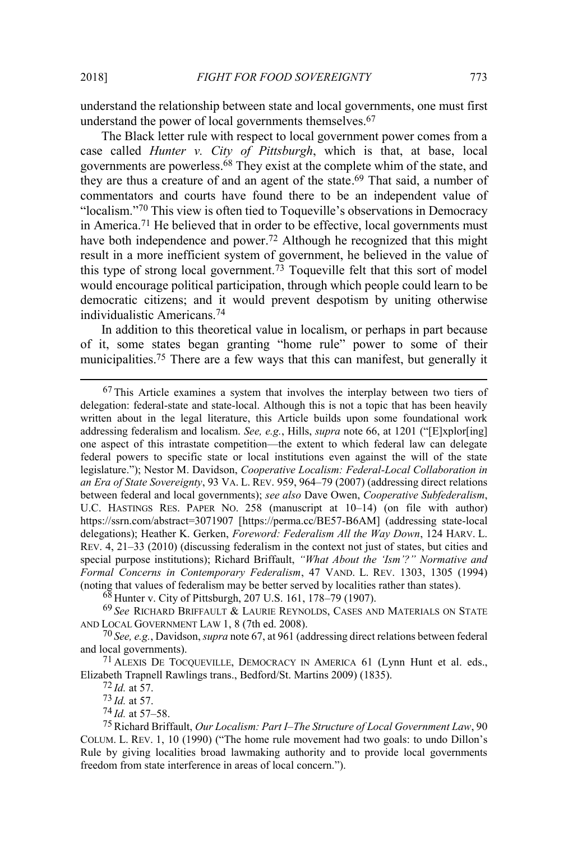understand the relationship between state and local governments, one must first understand the power of local governments themselves.<sup>67</sup>

The Black letter rule with respect to local government power comes from a case called *Hunter v. City of Pittsburgh*, which is that, at base, local governments are powerless.68 They exist at the complete whim of the state, and they are thus a creature of and an agent of the state.69 That said, a number of commentators and courts have found there to be an independent value of "localism."<sup>70</sup> This view is often tied to Toqueville's observations in Democracy in America.<sup>71</sup> He believed that in order to be effective, local governments must have both independence and power.<sup>72</sup> Although he recognized that this might result in a more inefficient system of government, he believed in the value of this type of strong local government.73 Toqueville felt that this sort of model would encourage political participation, through which people could learn to be democratic citizens; and it would prevent despotism by uniting otherwise individualistic Americans.74

In addition to this theoretical value in localism, or perhaps in part because of it, some states began granting "home rule" power to some of their municipalities.75 There are a few ways that this can manifest, but generally it

 <sup>67</sup> This Article examines a system that involves the interplay between two tiers of delegation: federal-state and state-local. Although this is not a topic that has been heavily written about in the legal literature, this Article builds upon some foundational work addressing federalism and localism. *See, e.g.*, Hills, *supra* note 66, at 1201 ("[E]xplor[ing] one aspect of this intrastate competition—the extent to which federal law can delegate federal powers to specific state or local institutions even against the will of the state legislature."); Nestor M. Davidson, *Cooperative Localism: Federal-Local Collaboration in an Era of State Sovereignty*, 93 VA. L. REV. 959, 964–79 (2007) (addressing direct relations between federal and local governments); *see also* Dave Owen, *Cooperative Subfederalism*, U.C. HASTINGS RES. PAPER NO. 258 (manuscript at 10–14) (on file with author) https://ssrn.com/abstract=3071907 [https://perma.cc/BE57-B6AM] (addressing state-local delegations); Heather K. Gerken, *Foreword: Federalism All the Way Down*, 124 HARV. L. REV. 4, 21–33 (2010) (discussing federalism in the context not just of states, but cities and special purpose institutions); Richard Briffault, *"What About the 'Ism'?" Normative and Formal Concerns in Contemporary Federalism*, 47 VAND. L. REV. 1303, 1305 (1994) (noting that values of federalism may be better served by localities rather than states).

<sup>68</sup> Hunter v. City of Pittsburgh, 207 U.S. 161, 178–79 (1907).

<sup>69</sup> *See* RICHARD BRIFFAULT & LAURIE REYNOLDS, CASES AND MATERIALS ON STATE AND LOCAL GOVERNMENT LAW 1, 8 (7th ed. 2008).

<sup>70</sup> *See, e.g.*, Davidson, *supra* note 67, at 961 (addressing direct relations between federal and local governments).

<sup>71</sup> ALEXIS DE TOCQUEVILLE, DEMOCRACY IN AMERICA 61 (Lynn Hunt et al. eds., Elizabeth Trapnell Rawlings trans., Bedford/St. Martins 2009) (1835).

<sup>72</sup> *Id.* at 57.

<sup>73</sup> *Id.* at 57.

<sup>74</sup> *Id.* at 57–58.

<sup>75</sup>Richard Briffault, *Our Localism: Part I–The Structure of Local Government Law*, 90 COLUM. L. REV. 1, 10 (1990) ("The home rule movement had two goals: to undo Dillon's Rule by giving localities broad lawmaking authority and to provide local governments freedom from state interference in areas of local concern.").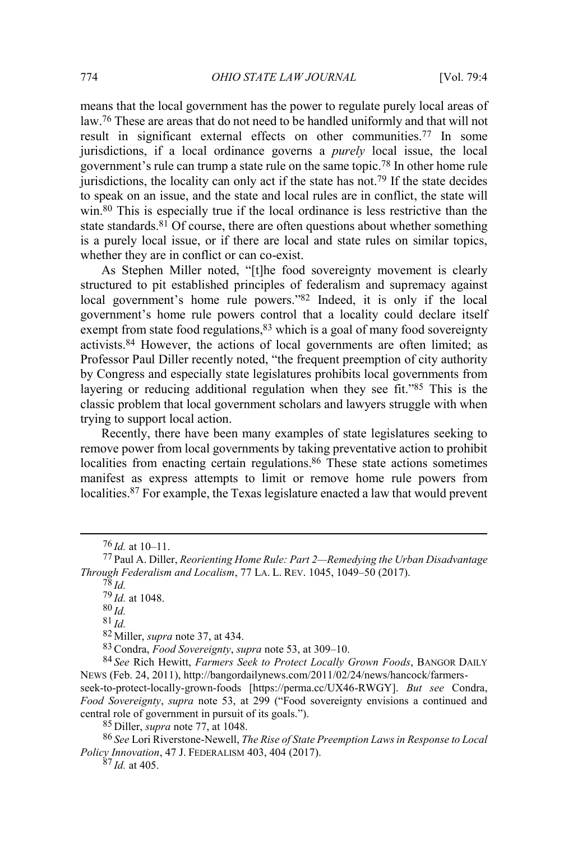means that the local government has the power to regulate purely local areas of law.76 These are areas that do not need to be handled uniformly and that will not result in significant external effects on other communities.77 In some jurisdictions, if a local ordinance governs a *purely* local issue, the local government's rule can trump a state rule on the same topic.78 In other home rule jurisdictions, the locality can only act if the state has not.<sup>79</sup> If the state decides to speak on an issue, and the state and local rules are in conflict, the state will win.<sup>80</sup> This is especially true if the local ordinance is less restrictive than the state standards.<sup>81</sup> Of course, there are often questions about whether something is a purely local issue, or if there are local and state rules on similar topics, whether they are in conflict or can co-exist.

As Stephen Miller noted, "[t]he food sovereignty movement is clearly structured to pit established principles of federalism and supremacy against local government's home rule powers."<sup>82</sup> Indeed, it is only if the local government's home rule powers control that a locality could declare itself exempt from state food regulations,  $83$  which is a goal of many food sovereignty activists.84 However, the actions of local governments are often limited; as Professor Paul Diller recently noted, "the frequent preemption of city authority by Congress and especially state legislatures prohibits local governments from layering or reducing additional regulation when they see fit."<sup>85</sup> This is the classic problem that local government scholars and lawyers struggle with when trying to support local action.

Recently, there have been many examples of state legislatures seeking to remove power from local governments by taking preventative action to prohibit localities from enacting certain regulations.<sup>86</sup> These state actions sometimes manifest as express attempts to limit or remove home rule powers from localities.87 For example, the Texas legislature enacted a law that would prevent

80 *Id.*

81 *Id.*

82 Miller, *supra* note 37, at 434.

83Condra, *Food Sovereignty*, *supra* note 53, at 309–10.

84 *See* Rich Hewitt, *Farmers Seek to Protect Locally Grown Foods*, BANGOR DAILY NEWS (Feb. 24, 2011), http://bangordailynews.com/2011/02/24/news/hancock/farmers-

seek-to-protect-locally-grown-foods [https://perma.cc/UX46-RWGY]. *But see* Condra, *Food Sovereignty*, *supra* note 53, at 299 ("Food sovereignty envisions a continued and central role of government in pursuit of its goals.").

85 Diller, *supra* note 77, at 1048.

86 *See* Lori Riverstone-Newell, *The Rise of State Preemption Laws in Response to Local Policy Innovation*, 47 J. FEDERALISM 403, 404 (2017).

 $87$  *Id.* at 405.

 <sup>76</sup> *Id.* at 10–11.

<sup>77</sup> Paul A. Diller, *Reorienting Home Rule: Part 2—Remedying the Urban Disadvantage Through Federalism and Localism*, 77 LA. L. REV. 1045, 1049–50 (2017).

 $^{78}$  *Id.* 

<sup>79</sup> *Id.* at 1048.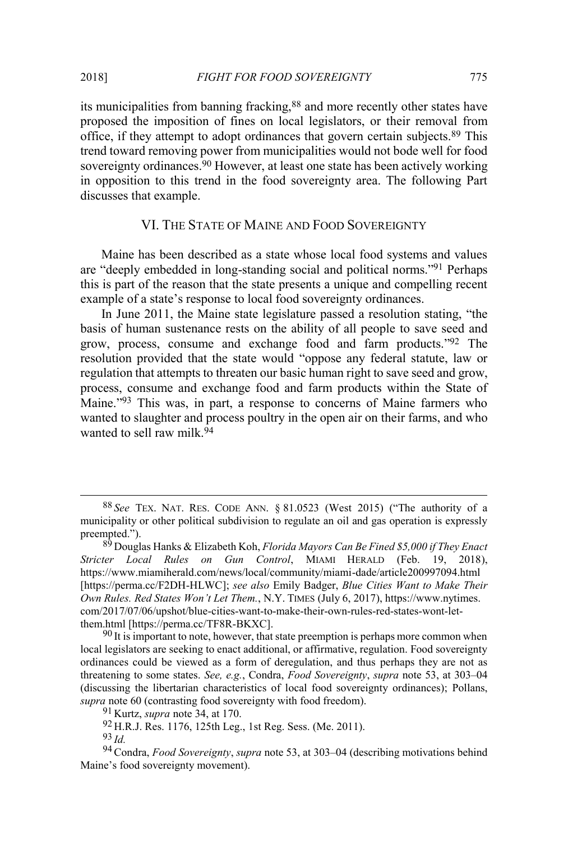its municipalities from banning fracking,88 and more recently other states have proposed the imposition of fines on local legislators, or their removal from office, if they attempt to adopt ordinances that govern certain subjects.89 This trend toward removing power from municipalities would not bode well for food sovereignty ordinances.<sup>90</sup> However, at least one state has been actively working in opposition to this trend in the food sovereignty area. The following Part discusses that example.

## VI. THE STATE OF MAINE AND FOOD SOVEREIGNTY

Maine has been described as a state whose local food systems and values are "deeply embedded in long-standing social and political norms."<sup>91</sup> Perhaps this is part of the reason that the state presents a unique and compelling recent example of a state's response to local food sovereignty ordinances.

In June 2011, the Maine state legislature passed a resolution stating, "the basis of human sustenance rests on the ability of all people to save seed and grow, process, consume and exchange food and farm products."<sup>92</sup> The resolution provided that the state would "oppose any federal statute, law or regulation that attempts to threaten our basic human right to save seed and grow, process, consume and exchange food and farm products within the State of Maine."<sup>93</sup> This was, in part, a response to concerns of Maine farmers who wanted to slaughter and process poultry in the open air on their farms, and who wanted to sell raw milk 94

 $90$  It is important to note, however, that state preemption is perhaps more common when local legislators are seeking to enact additional, or affirmative, regulation. Food sovereignty ordinances could be viewed as a form of deregulation, and thus perhaps they are not as threatening to some states. *See, e.g.*, Condra, *Food Sovereignty*, *supra* note 53, at 303–04 (discussing the libertarian characteristics of local food sovereignty ordinances); Pollans, *supra* note 60 (contrasting food sovereignty with food freedom).

 <sup>88</sup> *See* TEX. NAT. RES. CODE ANN. § 81.0523 (West 2015) ("The authority of a municipality or other political subdivision to regulate an oil and gas operation is expressly preempted.").

<sup>89</sup> Douglas Hanks & Elizabeth Koh, *Florida Mayors Can Be Fined \$5,000 if They Enact Stricter Local Rules on Gun Control*, MIAMI HERALD (Feb. 19, 2018), https://www.miamiherald.com/news/local/community/miami-dade/article200997094.html [https://perma.cc/F2DH-HLWC]; *see also* Emily Badger, *Blue Cities Want to Make Their Own Rules. Red States Won't Let Them.*, N.Y. TIMES (July 6, 2017), https://www.nytimes. com/2017/07/06/upshot/blue-cities-want-to-make-their-own-rules-red-states-wont-letthem.html [https://perma.cc/TF8R-BKXC].

<sup>91</sup> Kurtz, *supra* note 34, at 170.

<sup>92</sup> H.R.J. Res. 1176, 125th Leg., 1st Reg. Sess. (Me. 2011).

<sup>93</sup> *Id.* 

<sup>94</sup>Condra, *Food Sovereignty*, *supra* note 53, at 303–04 (describing motivations behind Maine's food sovereignty movement).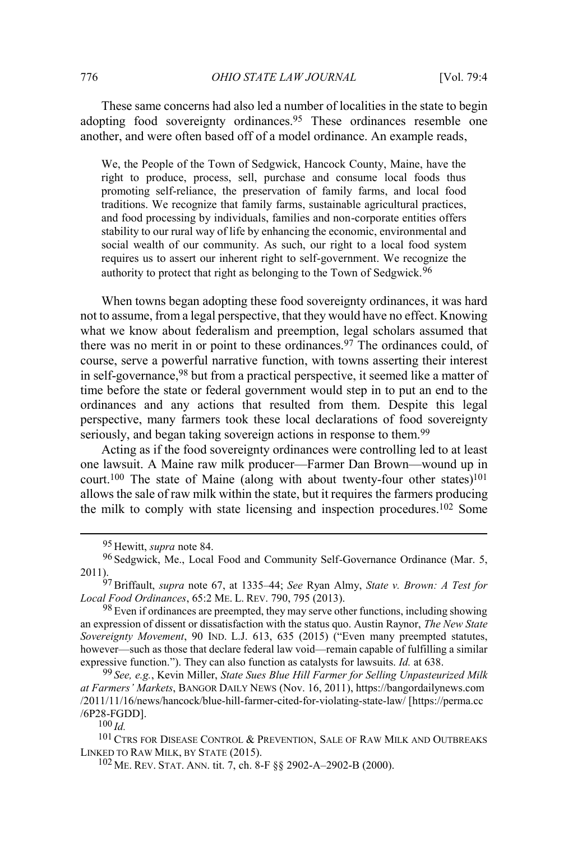These same concerns had also led a number of localities in the state to begin adopting food sovereignty ordinances.<sup>95</sup> These ordinances resemble one another, and were often based off of a model ordinance. An example reads,

We, the People of the Town of Sedgwick, Hancock County, Maine, have the right to produce, process, sell, purchase and consume local foods thus promoting self-reliance, the preservation of family farms, and local food traditions. We recognize that family farms, sustainable agricultural practices, and food processing by individuals, families and non-corporate entities offers stability to our rural way of life by enhancing the economic, environmental and social wealth of our community. As such, our right to a local food system requires us to assert our inherent right to self-government. We recognize the authority to protect that right as belonging to the Town of Sedgwick.<sup>96</sup>

When towns began adopting these food sovereignty ordinances, it was hard not to assume, from a legal perspective, that they would have no effect. Knowing what we know about federalism and preemption, legal scholars assumed that there was no merit in or point to these ordinances.97 The ordinances could, of course, serve a powerful narrative function, with towns asserting their interest in self-governance,98 but from a practical perspective, it seemed like a matter of time before the state or federal government would step in to put an end to the ordinances and any actions that resulted from them. Despite this legal perspective, many farmers took these local declarations of food sovereignty seriously, and began taking sovereign actions in response to them.<sup>99</sup>

Acting as if the food sovereignty ordinances were controlling led to at least one lawsuit. A Maine raw milk producer—Farmer Dan Brown—wound up in court.<sup>100</sup> The state of Maine (along with about twenty-four other states)<sup>101</sup> allows the sale of raw milk within the state, but it requires the farmers producing the milk to comply with state licensing and inspection procedures.102 Some

99 *See, e.g.*, Kevin Miller, *State Sues Blue Hill Farmer for Selling Unpasteurized Milk at Farmers' Markets*, BANGOR DAILY NEWS (Nov. 16, 2011), https://bangordailynews.com /2011/11/16/news/hancock/blue-hill-farmer-cited-for-violating-state-law/ [https://perma.cc /6P28-FGDD].

100 *Id.*

<sup>101</sup> CTRS FOR DISEASE CONTROL & PREVENTION, SALE OF RAW MILK AND OUTBREAKS LINKED TO RAW MILK, BY STATE (2015).

102 ME. REV. STAT. ANN. tit. 7, ch. 8-F §§ 2902-A–2902-B (2000).

 <sup>95</sup> Hewitt, *supra* note 84.

<sup>&</sup>lt;sup>96</sup> Sedgwick, Me., Local Food and Community Self-Governance Ordinance (Mar. 5, 2011).

<sup>97</sup>Briffault, *supra* note 67, at 1335–44; *See* Ryan Almy, *State v. Brown: A Test for Local Food Ordinances*, 65:2 ME. L. REV. 790, 795 (2013).

 $98$  Even if ordinances are preempted, they may serve other functions, including showing an expression of dissent or dissatisfaction with the status quo. Austin Raynor, *The New State Sovereignty Movement*, 90 IND. L.J. 613, 635 (2015) ("Even many preempted statutes, however—such as those that declare federal law void—remain capable of fulfilling a similar expressive function."). They can also function as catalysts for lawsuits. *Id.* at 638.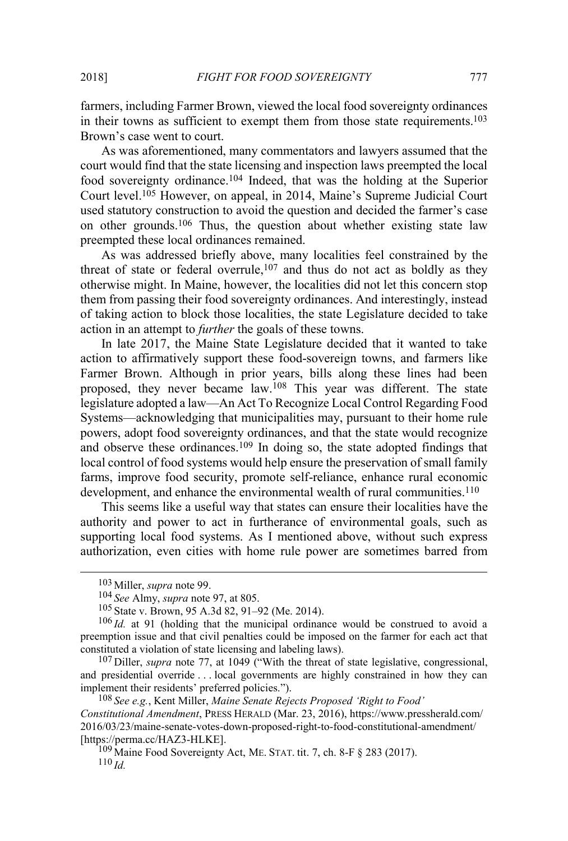farmers, including Farmer Brown, viewed the local food sovereignty ordinances in their towns as sufficient to exempt them from those state requirements.<sup>103</sup> Brown's case went to court.

As was aforementioned, many commentators and lawyers assumed that the court would find that the state licensing and inspection laws preempted the local food sovereignty ordinance.104 Indeed, that was the holding at the Superior Court level.105 However, on appeal, in 2014, Maine's Supreme Judicial Court used statutory construction to avoid the question and decided the farmer's case on other grounds.106 Thus, the question about whether existing state law preempted these local ordinances remained.

As was addressed briefly above, many localities feel constrained by the threat of state or federal overrule, $107$  and thus do not act as boldly as they otherwise might. In Maine, however, the localities did not let this concern stop them from passing their food sovereignty ordinances. And interestingly, instead of taking action to block those localities, the state Legislature decided to take action in an attempt to *further* the goals of these towns.

In late 2017, the Maine State Legislature decided that it wanted to take action to affirmatively support these food-sovereign towns, and farmers like Farmer Brown. Although in prior years, bills along these lines had been proposed, they never became law.108 This year was different. The state legislature adopted a law—An Act To Recognize Local Control Regarding Food Systems—acknowledging that municipalities may, pursuant to their home rule powers, adopt food sovereignty ordinances, and that the state would recognize and observe these ordinances.109 In doing so, the state adopted findings that local control of food systems would help ensure the preservation of small family farms, improve food security, promote self-reliance, enhance rural economic development, and enhance the environmental wealth of rural communities.<sup>110</sup>

This seems like a useful way that states can ensure their localities have the authority and power to act in furtherance of environmental goals, such as supporting local food systems. As I mentioned above, without such express authorization, even cities with home rule power are sometimes barred from

 <sup>103</sup> Miller, *supra* note 99.

<sup>104</sup> *See* Almy, *supra* note 97, at 805.

<sup>105</sup> State v. Brown, 95 A.3d 82, 91–92 (Me. 2014).

<sup>106</sup> *Id.* at 91 (holding that the municipal ordinance would be construed to avoid a preemption issue and that civil penalties could be imposed on the farmer for each act that constituted a violation of state licensing and labeling laws).

<sup>107</sup> Diller, *supra* note 77, at 1049 ("With the threat of state legislative, congressional, and presidential override . . . local governments are highly constrained in how they can implement their residents' preferred policies.").

<sup>108</sup> *See e.g.*, Kent Miller, *Maine Senate Rejects Proposed 'Right to Food' Constitutional Amendment*, PRESS HERALD (Mar. 23, 2016), https://www.pressherald.com/ 2016/03/23/maine-senate-votes-down-proposed-right-to-food-constitutional-amendment/ [https://perma.cc/HAZ3-HLKE].

 $109$  Maine Food Sovereignty Act, ME. STAT. tit. 7, ch. 8-F § 283 (2017).  $110$  *Id.*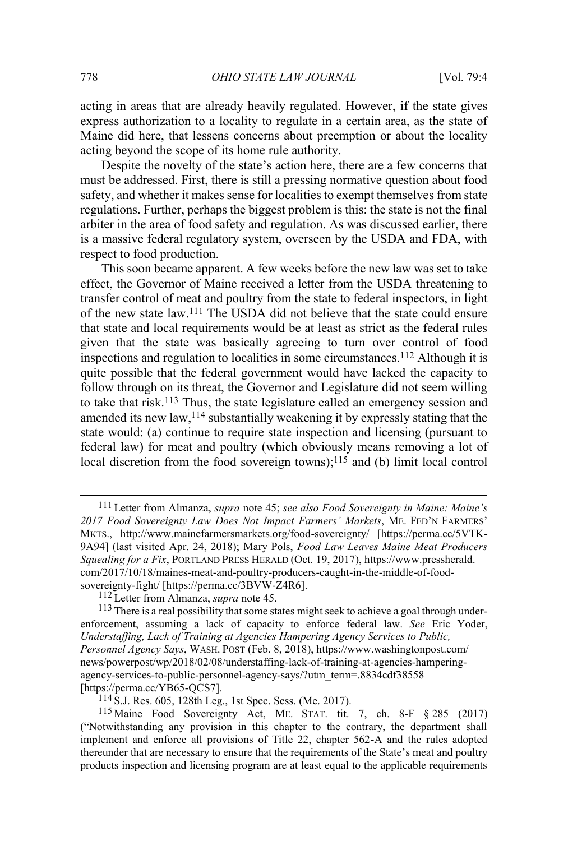acting in areas that are already heavily regulated. However, if the state gives express authorization to a locality to regulate in a certain area, as the state of Maine did here, that lessens concerns about preemption or about the locality acting beyond the scope of its home rule authority.

Despite the novelty of the state's action here, there are a few concerns that must be addressed. First, there is still a pressing normative question about food safety, and whether it makes sense for localities to exempt themselves from state regulations. Further, perhaps the biggest problem is this: the state is not the final arbiter in the area of food safety and regulation. As was discussed earlier, there is a massive federal regulatory system, overseen by the USDA and FDA, with respect to food production.

This soon became apparent. A few weeks before the new law was set to take effect, the Governor of Maine received a letter from the USDA threatening to transfer control of meat and poultry from the state to federal inspectors, in light of the new state law.111 The USDA did not believe that the state could ensure that state and local requirements would be at least as strict as the federal rules given that the state was basically agreeing to turn over control of food inspections and regulation to localities in some circumstances.112 Although it is quite possible that the federal government would have lacked the capacity to follow through on its threat, the Governor and Legislature did not seem willing to take that risk.113 Thus, the state legislature called an emergency session and amended its new law,114 substantially weakening it by expressly stating that the state would: (a) continue to require state inspection and licensing (pursuant to federal law) for meat and poultry (which obviously means removing a lot of local discretion from the food sovereign towns);<sup>115</sup> and (b) limit local control

 <sup>111</sup> Letter from Almanza, *supra* note 45; *see also Food Sovereignty in Maine: Maine'<sup>s</sup> 2017 Food Sovereignty Law Does Not Impact Farmers' Markets*, ME. FED'N FARMERS' MKTS., http://www.mainefarmersmarkets.org/food-sovereignty/ [https://perma.cc/5VTK-9A94] (last visited Apr. 24, 2018); Mary Pols, *Food Law Leaves Maine Meat Producers Squealing for a Fix*, PORTLAND PRESS HERALD (Oct. 19, 2017), https://www.pressherald. com/2017/10/18/maines-meat-and-poultry-producers-caught-in-the-middle-of-foodsovereignty-fight/ [https://perma.cc/3BVW-Z4R6].

<sup>112</sup> Letter from Almanza, *supra* note 45.

<sup>&</sup>lt;sup>113</sup> There is a real possibility that some states might seek to achieve a goal through underenforcement, assuming a lack of capacity to enforce federal law. *See* Eric Yoder, *Understaffing, Lack of Training at Agencies Hampering Agency Services to Public, Personnel Agency Says*, WASH. POST (Feb. 8, 2018), https://www.washingtonpost.com/ news/powerpost/wp/2018/02/08/understaffing-lack-of-training-at-agencies-hamperingagency-services-to-public-personnel-agency-says/?utm\_term=.8834cdf38558 [https://perma.cc/YB65-QCS7].

 $114$  S.J. Res. 605, 128th Leg., 1st Spec. Sess. (Me. 2017).

<sup>115</sup> Maine Food Sovereignty Act, ME. STAT. tit. 7, ch. 8-F § 285 (2017) ("Notwithstanding any provision in this chapter to the contrary, the department shall implement and enforce all provisions of Title 22, chapter 562-A and the rules adopted thereunder that are necessary to ensure that the requirements of the State's meat and poultry products inspection and licensing program are at least equal to the applicable requirements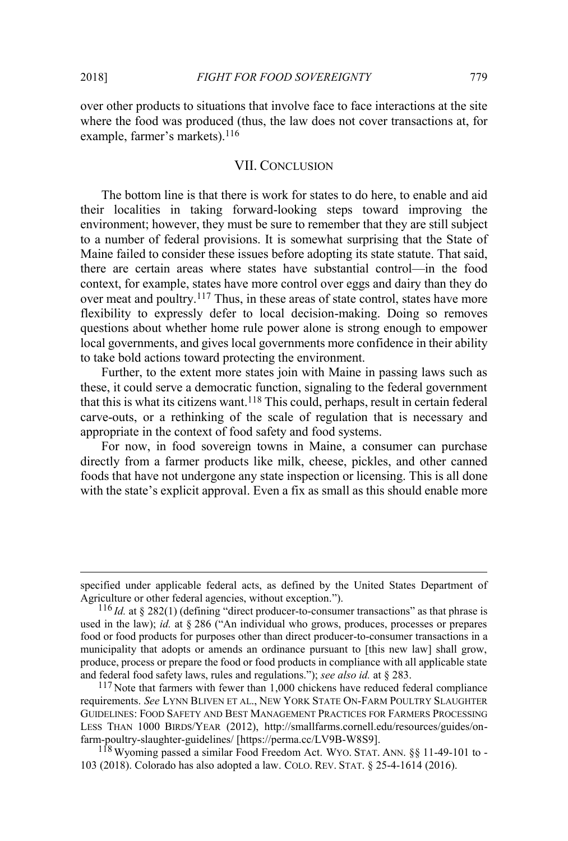$\overline{a}$ 

over other products to situations that involve face to face interactions at the site where the food was produced (thus, the law does not cover transactions at, for example, farmer's markets).<sup>116</sup>

#### VII. CONCLUSION

The bottom line is that there is work for states to do here, to enable and aid their localities in taking forward-looking steps toward improving the environment; however, they must be sure to remember that they are still subject to a number of federal provisions. It is somewhat surprising that the State of Maine failed to consider these issues before adopting its state statute. That said, there are certain areas where states have substantial control—in the food context, for example, states have more control over eggs and dairy than they do over meat and poultry.<sup>117</sup> Thus, in these areas of state control, states have more flexibility to expressly defer to local decision-making. Doing so removes questions about whether home rule power alone is strong enough to empower local governments, and gives local governments more confidence in their ability to take bold actions toward protecting the environment.

Further, to the extent more states join with Maine in passing laws such as these, it could serve a democratic function, signaling to the federal government that this is what its citizens want.118 This could, perhaps, result in certain federal carve-outs, or a rethinking of the scale of regulation that is necessary and appropriate in the context of food safety and food systems.

For now, in food sovereign towns in Maine, a consumer can purchase directly from a farmer products like milk, cheese, pickles, and other canned foods that have not undergone any state inspection or licensing. This is all done with the state's explicit approval. Even a fix as small as this should enable more

specified under applicable federal acts, as defined by the United States Department of Agriculture or other federal agencies, without exception.").

<sup>116</sup> *Id.* at § 282(1) (defining "direct producer-to-consumer transactions" as that phrase is used in the law); *id.* at § 286 ("An individual who grows, produces, processes or prepares food or food products for purposes other than direct producer-to-consumer transactions in a municipality that adopts or amends an ordinance pursuant to [this new law] shall grow, produce, process or prepare the food or food products in compliance with all applicable state and federal food safety laws, rules and regulations."); *see also id.* at § 283.

<sup>&</sup>lt;sup>117</sup> Note that farmers with fewer than 1,000 chickens have reduced federal compliance requirements. *See* LYNN BLIVEN ET AL., NEW YORK STATE ON-FARM POULTRY SLAUGHTER GUIDELINES: FOOD SAFETY AND BEST MANAGEMENT PRACTICES FOR FARMERS PROCESSING LESS THAN 1000 BIRDS/YEAR (2012), http://smallfarms.cornell.edu/resources/guides/onfarm-poultry-slaughter-guidelines/ [https://perma.cc/LV9B-W8S9].

<sup>118</sup> Wyoming passed a similar Food Freedom Act. WYO. STAT. ANN. §§ 11-49-101 to - 103 (2018). Colorado has also adopted a law. COLO. REV. STAT. § 25-4-1614 (2016).